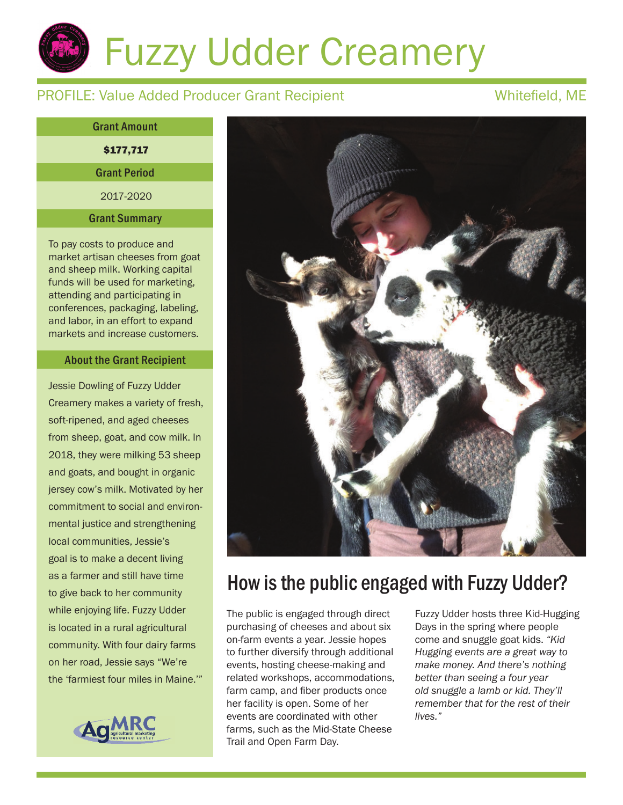# Fuzzy Udder Creamery

## PROFILE: Value Added Producer Grant Recipient Whitefield, ME

\$177,717 2017-2020 Grant Amount Grant Period Grant Summary

To pay costs to produce and market artisan cheeses from goat and sheep milk. Working capital funds will be used for marketing, attending and participating in conferences, packaging, labeling, and labor, in an effort to expand markets and increase customers.

### About the Grant Recipient

Jessie Dowling of Fuzzy Udder Creamery makes a variety of fresh, soft-ripened, and aged cheeses from sheep, goat, and cow milk. In 2018, they were milking 53 sheep and goats, and bought in organic jersey cow's milk. Motivated by her commitment to social and environmental justice and strengthening local communities, Jessie's goal is to make a decent living as a farmer and still have time to give back to her community while enjoying life. Fuzzy Udder is located in a rural agricultural community. With four dairy farms on her road, Jessie says "We're the 'farmiest four miles in Maine.'"





## How is the public engaged with Fuzzy Udder?

The public is engaged through direct purchasing of cheeses and about six on-farm events a year. Jessie hopes to further diversify through additional events, hosting cheese-making and related workshops, accommodations, farm camp, and fiber products once her facility is open. Some of her events are coordinated with other farms, such as the Mid-State Cheese Trail and Open Farm Day.

Fuzzy Udder hosts three Kid-Hugging Days in the spring where people come and snuggle goat kids. *"Kid Hugging events are a great way to make money. And there's nothing better than seeing a four year old snuggle a lamb or kid. They'll remember that for the rest of their lives."*